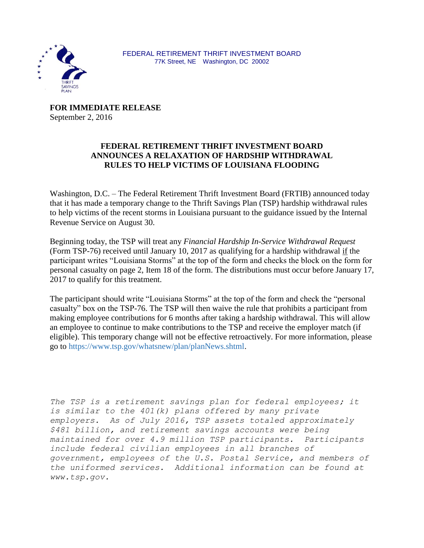

**FOR IMMEDIATE RELEASE** September 2, 2016

## **FEDERAL RETIREMENT THRIFT INVESTMENT BOARD ANNOUNCES A RELAXATION OF HARDSHIP WITHDRAWAL RULES TO HELP VICTIMS OF LOUISIANA FLOODING**

Washington, D.C. – The Federal Retirement Thrift Investment Board (FRTIB) announced today that it has made a temporary change to the Thrift Savings Plan (TSP) hardship withdrawal rules to help victims of the recent storms in Louisiana pursuant to the guidance issued by the Internal Revenue Service on August 30.

Beginning today, the TSP will treat any *Financial Hardship In-Service Withdrawal Request* (Form TSP-76) received until January 10, 2017 as qualifying for a hardship withdrawal if the participant writes "Louisiana Storms" at the top of the form and checks the block on the form for personal casualty on page 2, Item 18 of the form. The distributions must occur before January 17, 2017 to qualify for this treatment.

The participant should write "Louisiana Storms" at the top of the form and check the "personal casualty" box on the TSP-76. The TSP will then waive the rule that prohibits a participant from making employee contributions for 6 months after taking a hardship withdrawal. This will allow an employee to continue to make contributions to the TSP and receive the employer match (if eligible). This temporary change will not be effective retroactively. For more information, please go to [https://www.tsp.gov/whatsnew/plan/planNews.shtml.](https://www.tsp.gov/whatsnew/plan/planNews.shtml)

*The TSP is a retirement savings plan for federal employees; it is similar to the 401(k) plans offered by many private employers. As of July 2016, TSP assets totaled approximately \$481 billion, and retirement savings accounts were being maintained for over 4.9 million TSP participants. Participants include federal civilian employees in all branches of government, employees of the U.S. Postal Service, and members of the uniformed services. Additional information can be found at www[.tsp.gov.](http://cts.businesswire.com/ct/CT?id=smartlink&url=http%3A%2F%2Fwww.tsp.gov&esheet=6837062&lan=en-US&anchor=www.tsp.gov&index=1&md5=ddb0294386c838a9d24983ed6d3f3237)*